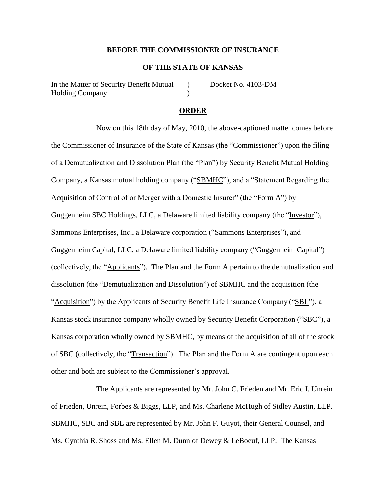#### **BEFORE THE COMMISSIONER OF INSURANCE**

## **OF THE STATE OF KANSAS**

In the Matter of Security Benefit Mutual (a) Docket No. 4103-DM Holding Company (1996)

#### **ORDER**

Now on this 18th day of May, 2010, the above-captioned matter comes before the Commissioner of Insurance of the State of Kansas (the "Commissioner") upon the filing of a Demutualization and Dissolution Plan (the "Plan") by Security Benefit Mutual Holding Company, a Kansas mutual holding company ("SBMHC"), and a "Statement Regarding the Acquisition of Control of or Merger with a Domestic Insurer" (the "Form A") by Guggenheim SBC Holdings, LLC, a Delaware limited liability company (the "Investor"), Sammons Enterprises, Inc., a Delaware corporation ("Sammons Enterprises"), and Guggenheim Capital, LLC, a Delaware limited liability company ("Guggenheim Capital") (collectively, the "Applicants"). The Plan and the Form A pertain to the demutualization and dissolution (the "Demutualization and Dissolution") of SBMHC and the acquisition (the "Acquisition") by the Applicants of Security Benefit Life Insurance Company ("SBL"), a Kansas stock insurance company wholly owned by Security Benefit Corporation ("SBC"), a Kansas corporation wholly owned by SBMHC, by means of the acquisition of all of the stock of SBC (collectively, the "Transaction"). The Plan and the Form A are contingent upon each other and both are subject to the Commissioner's approval.

The Applicants are represented by Mr. John C. Frieden and Mr. Eric I. Unrein of Frieden, Unrein, Forbes & Biggs, LLP, and Ms. Charlene McHugh of Sidley Austin, LLP. SBMHC, SBC and SBL are represented by Mr. John F. Guyot, their General Counsel, and Ms. Cynthia R. Shoss and Ms. Ellen M. Dunn of Dewey & LeBoeuf, LLP. The Kansas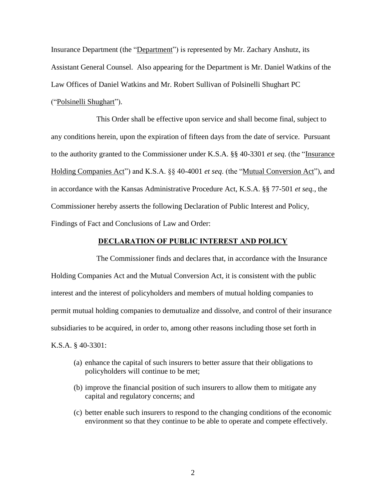Insurance Department (the "Department") is represented by Mr. Zachary Anshutz, its Assistant General Counsel. Also appearing for the Department is Mr. Daniel Watkins of the Law Offices of Daniel Watkins and Mr. Robert Sullivan of Polsinelli Shughart PC ("Polsinelli Shughart").

This Order shall be effective upon service and shall become final, subject to any conditions herein, upon the expiration of fifteen days from the date of service. Pursuant to the authority granted to the Commissioner under K.S.A. §§ 40-3301 *et seq*. (the "Insurance Holding Companies Act") and K.S.A. §§ 40-4001 *et seq*. (the "Mutual Conversion Act"), and in accordance with the Kansas Administrative Procedure Act, K.S.A. §§ 77-501 *et seq.*, the Commissioner hereby asserts the following Declaration of Public Interest and Policy, Findings of Fact and Conclusions of Law and Order:

### **DECLARATION OF PUBLIC INTEREST AND POLICY**

The Commissioner finds and declares that, in accordance with the Insurance Holding Companies Act and the Mutual Conversion Act, it is consistent with the public interest and the interest of policyholders and members of mutual holding companies to permit mutual holding companies to demutualize and dissolve, and control of their insurance subsidiaries to be acquired, in order to, among other reasons including those set forth in K.S.A. § 40-3301:

- (a) enhance the capital of such insurers to better assure that their obligations to policyholders will continue to be met;
- (b) improve the financial position of such insurers to allow them to mitigate any capital and regulatory concerns; and
- (c) better enable such insurers to respond to the changing conditions of the economic environment so that they continue to be able to operate and compete effectively.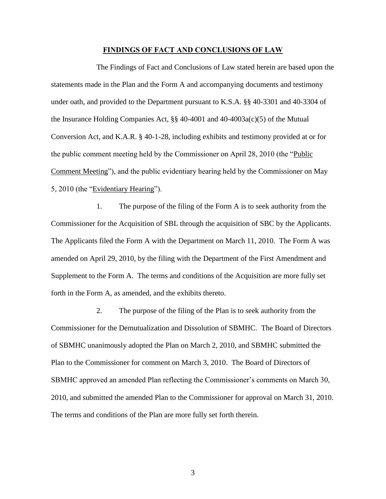#### **FINDINGS OF FACT AND CONCLUSIONS OF LAW**

The Findings of Fact and Conclusions of Law stated herein are based upon the statements made in the Plan and the Form A and accompanying documents and testimony under oath, and provided to the Department pursuant to K.S.A. §§ 40-3301 and 40-3304 of the Insurance Holding Companies Act, §§ 40-4001 and 40-4003a(c)(5) of the Mutual Conversion Act, and K.A.R. § 40-1-28, including exhibits and testimony provided at or for the public comment meeting held by the Commissioner on April 28, 2010 (the "Public Comment Meeting"), and the public evidentiary hearing held by the Commissioner on May 5, 2010 (the "Evidentiary Hearing").

1. The purpose of the filing of the Form A is to seek authority from the Commissioner for the Acquisition of SBL through the acquisition of SBC by the Applicants. The Applicants filed the Form A with the Department on March 11, 2010. The Form A was amended on April 29, 2010, by the filing with the Department of the First Amendment and Supplement to the Form A. The terms and conditions of the Acquisition are more fully set forth in the Form A, as amended, and the exhibits thereto.

2. The purpose of the filing of the Plan is to seek authority from the Commissioner for the Demutualization and Dissolution of SBMHC. The Board of Directors of SBMHC unanimously adopted the Plan on March 2, 2010, and SBMHC submitted the Plan to the Commissioner for comment on March 3, 2010. The Board of Directors of SBMHC approved an amended Plan reflecting the Commissioner's comments on March 30, 2010, and submitted the amended Plan to the Commissioner for approval on March 31, 2010. The terms and conditions of the Plan are more fully set forth therein.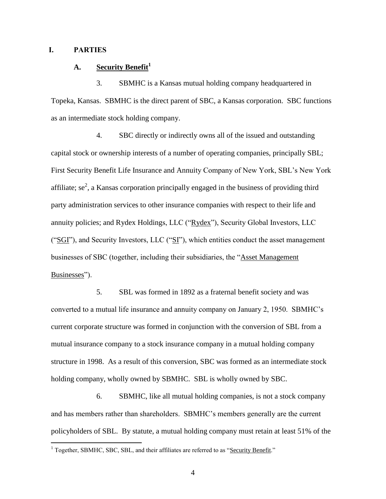## **I. PARTIES**

 $\overline{a}$ 

## **A. Security Benefit<sup>1</sup>**

3. SBMHC is a Kansas mutual holding company headquartered in Topeka, Kansas. SBMHC is the direct parent of SBC, a Kansas corporation. SBC functions as an intermediate stock holding company.

4. SBC directly or indirectly owns all of the issued and outstanding capital stock or ownership interests of a number of operating companies, principally SBL; First Security Benefit Life Insurance and Annuity Company of New York, SBL's New York affiliate; se<sup>2</sup>, a Kansas corporation principally engaged in the business of providing third party administration services to other insurance companies with respect to their life and annuity policies; and Rydex Holdings, LLC ("Rydex"), Security Global Investors, LLC (" $SGI$ "), and Security Investors, LLC (" $SI$ "), which entities conduct the asset management businesses of SBC (together, including their subsidiaries, the "Asset Management Businesses").

5. SBL was formed in 1892 as a fraternal benefit society and was converted to a mutual life insurance and annuity company on January 2, 1950. SBMHC's current corporate structure was formed in conjunction with the conversion of SBL from a mutual insurance company to a stock insurance company in a mutual holding company structure in 1998. As a result of this conversion, SBC was formed as an intermediate stock holding company, wholly owned by SBMHC. SBL is wholly owned by SBC.

6. SBMHC, like all mutual holding companies, is not a stock company and has members rather than shareholders. SBMHC's members generally are the current policyholders of SBL. By statute, a mutual holding company must retain at least 51% of the

 $<sup>1</sup>$  Together, SBMHC, SBC, SBL, and their affiliates are referred to as "Security Benefit."</sup>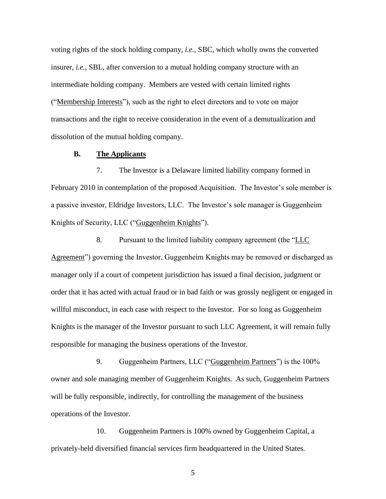voting rights of the stock holding company, *i.e.*, SBC, which wholly owns the converted insurer, *i.e.*, SBL, after conversion to a mutual holding company structure with an intermediate holding company. Members are vested with certain limited rights ("Membership Interests"), such as the right to elect directors and to vote on major transactions and the right to receive consideration in the event of a demutualization and dissolution of the mutual holding company.

#### **B. The Applicants**

7. The Investor is a Delaware limited liability company formed in February 2010 in contemplation of the proposed Acquisition. The Investor's sole member is a passive investor, Eldridge Investors, LLC. The Investor's sole manager is Guggenheim Knights of Security, LLC ("Guggenheim Knights").

8. Pursuant to the limited liability company agreement (the "LLC Agreement") governing the Investor, Guggenheim Knights may be removed or discharged as manager only if a court of competent jurisdiction has issued a final decision, judgment or order that it has acted with actual fraud or in bad faith or was grossly negligent or engaged in willful misconduct, in each case with respect to the Investor. For so long as Guggenheim Knights is the manager of the Investor pursuant to such LLC Agreement, it will remain fully responsible for managing the business operations of the Investor.

9. Guggenheim Partners, LLC ("Guggenheim Partners") is the 100% owner and sole managing member of Guggenheim Knights. As such, Guggenheim Partners will be fully responsible, indirectly, for controlling the management of the business operations of the Investor.

10. Guggenheim Partners is 100% owned by Guggenheim Capital, a privately-held diversified financial services firm headquartered in the United States.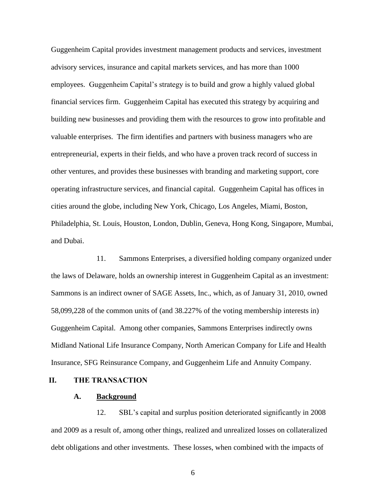Guggenheim Capital provides investment management products and services, investment advisory services, insurance and capital markets services, and has more than 1000 employees. Guggenheim Capital's strategy is to build and grow a highly valued global financial services firm. Guggenheim Capital has executed this strategy by acquiring and building new businesses and providing them with the resources to grow into profitable and valuable enterprises. The firm identifies and partners with business managers who are entrepreneurial, experts in their fields, and who have a proven track record of success in other ventures, and provides these businesses with branding and marketing support, core operating infrastructure services, and financial capital. Guggenheim Capital has offices in cities around the globe, including New York, Chicago, Los Angeles, Miami, Boston, Philadelphia, St. Louis, Houston, London, Dublin, Geneva, Hong Kong, Singapore, Mumbai, and Dubai.

11. Sammons Enterprises, a diversified holding company organized under the laws of Delaware, holds an ownership interest in Guggenheim Capital as an investment: Sammons is an indirect owner of SAGE Assets, Inc., which, as of January 31, 2010, owned 58,099,228 of the common units of (and 38.227% of the voting membership interests in) Guggenheim Capital. Among other companies, Sammons Enterprises indirectly owns Midland National Life Insurance Company, North American Company for Life and Health Insurance, SFG Reinsurance Company, and Guggenheim Life and Annuity Company.

#### **II. THE TRANSACTION**

#### **A. Background**

12. SBL's capital and surplus position deteriorated significantly in 2008 and 2009 as a result of, among other things, realized and unrealized losses on collateralized debt obligations and other investments. These losses, when combined with the impacts of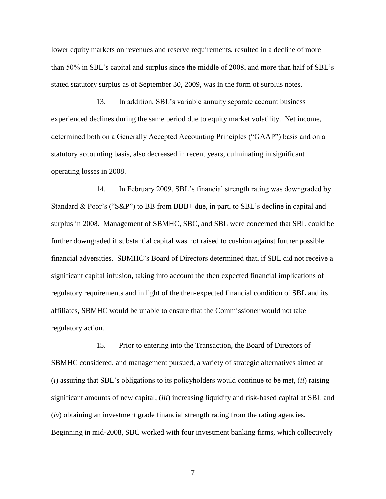lower equity markets on revenues and reserve requirements, resulted in a decline of more than 50% in SBL's capital and surplus since the middle of 2008, and more than half of SBL's stated statutory surplus as of September 30, 2009, was in the form of surplus notes.

13. In addition, SBL's variable annuity separate account business experienced declines during the same period due to equity market volatility. Net income, determined both on a Generally Accepted Accounting Principles ("GAAP") basis and on a statutory accounting basis, also decreased in recent years, culminating in significant operating losses in 2008.

14. In February 2009, SBL's financial strength rating was downgraded by Standard & Poor's ("S&P") to BB from BBB+ due, in part, to SBL's decline in capital and surplus in 2008. Management of SBMHC, SBC, and SBL were concerned that SBL could be further downgraded if substantial capital was not raised to cushion against further possible financial adversities. SBMHC's Board of Directors determined that, if SBL did not receive a significant capital infusion, taking into account the then expected financial implications of regulatory requirements and in light of the then-expected financial condition of SBL and its affiliates, SBMHC would be unable to ensure that the Commissioner would not take regulatory action.

15. Prior to entering into the Transaction, the Board of Directors of SBMHC considered, and management pursued, a variety of strategic alternatives aimed at (*i*) assuring that SBL's obligations to its policyholders would continue to be met, (*ii*) raising significant amounts of new capital, (*iii*) increasing liquidity and risk-based capital at SBL and (*iv*) obtaining an investment grade financial strength rating from the rating agencies. Beginning in mid-2008, SBC worked with four investment banking firms, which collectively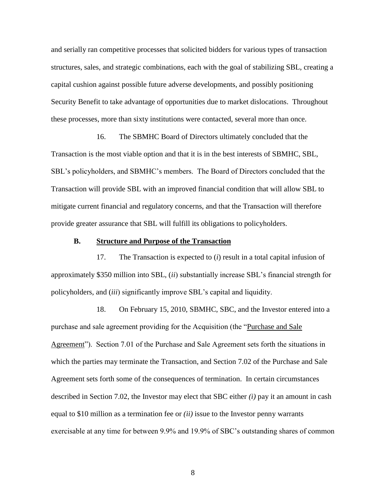and serially ran competitive processes that solicited bidders for various types of transaction structures, sales, and strategic combinations, each with the goal of stabilizing SBL, creating a capital cushion against possible future adverse developments, and possibly positioning Security Benefit to take advantage of opportunities due to market dislocations. Throughout these processes, more than sixty institutions were contacted, several more than once.

16. The SBMHC Board of Directors ultimately concluded that the Transaction is the most viable option and that it is in the best interests of SBMHC, SBL, SBL's policyholders, and SBMHC's members. The Board of Directors concluded that the Transaction will provide SBL with an improved financial condition that will allow SBL to mitigate current financial and regulatory concerns, and that the Transaction will therefore provide greater assurance that SBL will fulfill its obligations to policyholders.

### **B. Structure and Purpose of the Transaction**

17. The Transaction is expected to (*i*) result in a total capital infusion of approximately \$350 million into SBL, (*ii*) substantially increase SBL's financial strength for policyholders, and (*iii*) significantly improve SBL's capital and liquidity.

18. On February 15, 2010, SBMHC, SBC, and the Investor entered into a purchase and sale agreement providing for the Acquisition (the "Purchase and Sale Agreement"). Section 7.01 of the Purchase and Sale Agreement sets forth the situations in which the parties may terminate the Transaction, and Section 7.02 of the Purchase and Sale Agreement sets forth some of the consequences of termination. In certain circumstances described in Section 7.02, the Investor may elect that SBC either *(i)* pay it an amount in cash equal to \$10 million as a termination fee or *(ii)* issue to the Investor penny warrants exercisable at any time for between 9.9% and 19.9% of SBC's outstanding shares of common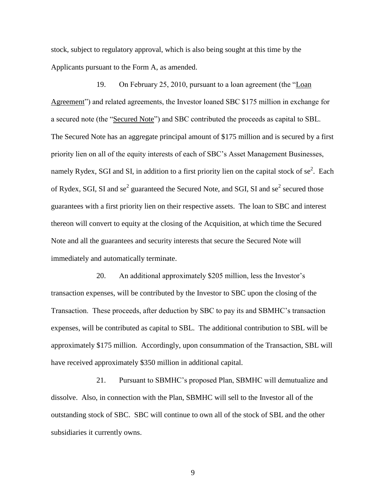stock, subject to regulatory approval, which is also being sought at this time by the Applicants pursuant to the Form A, as amended.

19. On February 25, 2010, pursuant to a loan agreement (the "Loan Agreement") and related agreements, the Investor loaned SBC \$175 million in exchange for a secured note (the "Secured Note") and SBC contributed the proceeds as capital to SBL. The Secured Note has an aggregate principal amount of \$175 million and is secured by a first priority lien on all of the equity interests of each of SBC's Asset Management Businesses, namely Rydex, SGI and SI, in addition to a first priority lien on the capital stock of  $se^2$ . Each of Rydex, SGI, SI and se<sup>2</sup> guaranteed the Secured Note, and SGI, SI and se<sup>2</sup> secured those guarantees with a first priority lien on their respective assets. The loan to SBC and interest thereon will convert to equity at the closing of the Acquisition, at which time the Secured Note and all the guarantees and security interests that secure the Secured Note will immediately and automatically terminate.

20. An additional approximately \$205 million, less the Investor's transaction expenses, will be contributed by the Investor to SBC upon the closing of the Transaction. These proceeds, after deduction by SBC to pay its and SBMHC's transaction expenses, will be contributed as capital to SBL. The additional contribution to SBL will be approximately \$175 million. Accordingly, upon consummation of the Transaction, SBL will have received approximately \$350 million in additional capital.

21. Pursuant to SBMHC's proposed Plan, SBMHC will demutualize and dissolve. Also, in connection with the Plan, SBMHC will sell to the Investor all of the outstanding stock of SBC. SBC will continue to own all of the stock of SBL and the other subsidiaries it currently owns.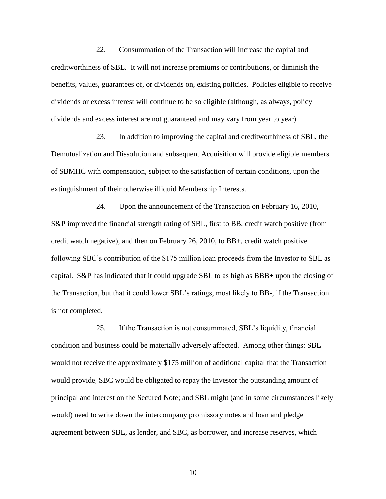22. Consummation of the Transaction will increase the capital and creditworthiness of SBL. It will not increase premiums or contributions, or diminish the benefits, values, guarantees of, or dividends on, existing policies. Policies eligible to receive dividends or excess interest will continue to be so eligible (although, as always, policy dividends and excess interest are not guaranteed and may vary from year to year).

23. In addition to improving the capital and creditworthiness of SBL, the Demutualization and Dissolution and subsequent Acquisition will provide eligible members of SBMHC with compensation, subject to the satisfaction of certain conditions, upon the extinguishment of their otherwise illiquid Membership Interests.

24. Upon the announcement of the Transaction on February 16, 2010, S&P improved the financial strength rating of SBL, first to BB, credit watch positive (from credit watch negative), and then on February 26, 2010, to BB+, credit watch positive following SBC's contribution of the \$175 million loan proceeds from the Investor to SBL as capital. S&P has indicated that it could upgrade SBL to as high as BBB+ upon the closing of the Transaction, but that it could lower SBL's ratings, most likely to BB-, if the Transaction is not completed.

25. If the Transaction is not consummated, SBL's liquidity, financial condition and business could be materially adversely affected. Among other things: SBL would not receive the approximately \$175 million of additional capital that the Transaction would provide; SBC would be obligated to repay the Investor the outstanding amount of principal and interest on the Secured Note; and SBL might (and in some circumstances likely would) need to write down the intercompany promissory notes and loan and pledge agreement between SBL, as lender, and SBC, as borrower, and increase reserves, which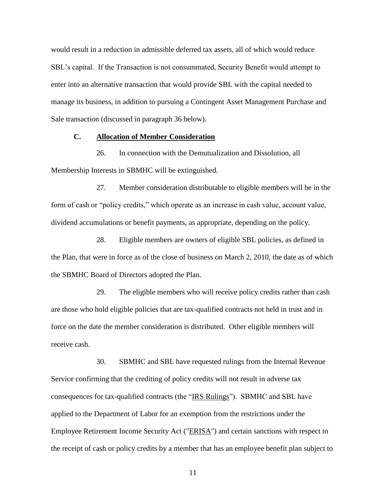would result in a reduction in admissible deferred tax assets, all of which would reduce SBL's capital. If the Transaction is not consummated, Security Benefit would attempt to enter into an alternative transaction that would provide SBL with the capital needed to manage its business, in addition to pursuing a Contingent Asset Management Purchase and Sale transaction (discussed in paragraph 36 below).

## **C. Allocation of Member Consideration**

26. In connection with the Demutualization and Dissolution, all Membership Interests in SBMHC will be extinguished.

27. Member consideration distributable to eligible members will be in the form of cash or "policy credits," which operate as an increase in cash value, account value, dividend accumulations or benefit payments, as appropriate, depending on the policy.

28. Eligible members are owners of eligible SBL policies, as defined in the Plan, that were in force as of the close of business on March 2, 2010, the date as of which the SBMHC Board of Directors adopted the Plan.

29. The eligible members who will receive policy credits rather than cash are those who hold eligible policies that are tax-qualified contracts not held in trust and in force on the date the member consideration is distributed. Other eligible members will receive cash.

30. SBMHC and SBL have requested rulings from the Internal Revenue Service confirming that the crediting of policy credits will not result in adverse tax consequences for tax-qualified contracts (the "IRS Rulings"). SBMHC and SBL have applied to the Department of Labor for an exemption from the restrictions under the Employee Retirement Income Security Act ("ERISA") and certain sanctions with respect to the receipt of cash or policy credits by a member that has an employee benefit plan subject to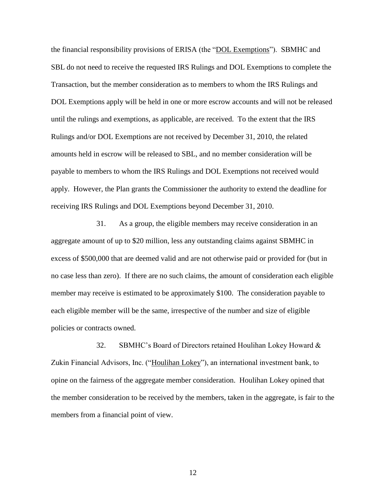the financial responsibility provisions of ERISA (the "DOL Exemptions"). SBMHC and SBL do not need to receive the requested IRS Rulings and DOL Exemptions to complete the Transaction, but the member consideration as to members to whom the IRS Rulings and DOL Exemptions apply will be held in one or more escrow accounts and will not be released until the rulings and exemptions, as applicable, are received. To the extent that the IRS Rulings and/or DOL Exemptions are not received by December 31, 2010, the related amounts held in escrow will be released to SBL, and no member consideration will be payable to members to whom the IRS Rulings and DOL Exemptions not received would apply. However, the Plan grants the Commissioner the authority to extend the deadline for receiving IRS Rulings and DOL Exemptions beyond December 31, 2010.

31. As a group, the eligible members may receive consideration in an aggregate amount of up to \$20 million, less any outstanding claims against SBMHC in excess of \$500,000 that are deemed valid and are not otherwise paid or provided for (but in no case less than zero). If there are no such claims, the amount of consideration each eligible member may receive is estimated to be approximately \$100. The consideration payable to each eligible member will be the same, irrespective of the number and size of eligible policies or contracts owned.

32. SBMHC's Board of Directors retained Houlihan Lokey Howard & Zukin Financial Advisors, Inc. ("Houlihan Lokey"), an international investment bank, to opine on the fairness of the aggregate member consideration. Houlihan Lokey opined that the member consideration to be received by the members, taken in the aggregate, is fair to the members from a financial point of view.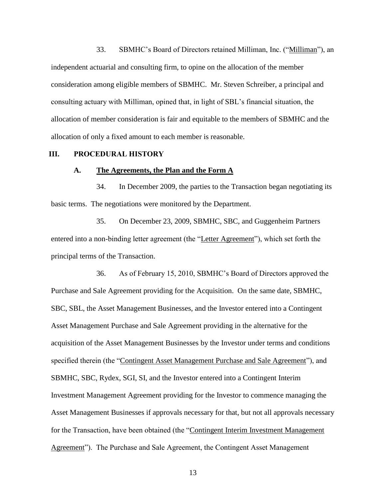33. SBMHC's Board of Directors retained Milliman, Inc. ("Milliman"), an independent actuarial and consulting firm, to opine on the allocation of the member consideration among eligible members of SBMHC. Mr. Steven Schreiber, a principal and consulting actuary with Milliman, opined that, in light of SBL's financial situation, the allocation of member consideration is fair and equitable to the members of SBMHC and the allocation of only a fixed amount to each member is reasonable.

### **III. PROCEDURAL HISTORY**

#### **A. The Agreements, the Plan and the Form A**

34. In December 2009, the parties to the Transaction began negotiating its basic terms. The negotiations were monitored by the Department.

35. On December 23, 2009, SBMHC, SBC, and Guggenheim Partners entered into a non-binding letter agreement (the "Letter Agreement"), which set forth the principal terms of the Transaction.

36. As of February 15, 2010, SBMHC's Board of Directors approved the Purchase and Sale Agreement providing for the Acquisition. On the same date, SBMHC, SBC, SBL, the Asset Management Businesses, and the Investor entered into a Contingent Asset Management Purchase and Sale Agreement providing in the alternative for the acquisition of the Asset Management Businesses by the Investor under terms and conditions specified therein (the "Contingent Asset Management Purchase and Sale Agreement"), and SBMHC, SBC, Rydex, SGI, SI, and the Investor entered into a Contingent Interim Investment Management Agreement providing for the Investor to commence managing the Asset Management Businesses if approvals necessary for that, but not all approvals necessary for the Transaction, have been obtained (the "Contingent Interim Investment Management Agreement"). The Purchase and Sale Agreement, the Contingent Asset Management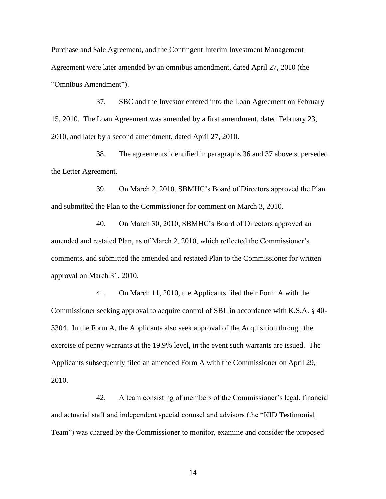Purchase and Sale Agreement, and the Contingent Interim Investment Management Agreement were later amended by an omnibus amendment, dated April 27, 2010 (the "Omnibus Amendment").

37. SBC and the Investor entered into the Loan Agreement on February 15, 2010. The Loan Agreement was amended by a first amendment, dated February 23, 2010, and later by a second amendment, dated April 27, 2010.

38. The agreements identified in paragraphs 36 and 37 above superseded the Letter Agreement.

39. On March 2, 2010, SBMHC's Board of Directors approved the Plan and submitted the Plan to the Commissioner for comment on March 3, 2010.

40. On March 30, 2010, SBMHC's Board of Directors approved an amended and restated Plan, as of March 2, 2010, which reflected the Commissioner's comments, and submitted the amended and restated Plan to the Commissioner for written approval on March 31, 2010.

41. On March 11, 2010, the Applicants filed their Form A with the Commissioner seeking approval to acquire control of SBL in accordance with K.S.A. § 40- 3304. In the Form A, the Applicants also seek approval of the Acquisition through the exercise of penny warrants at the 19.9% level, in the event such warrants are issued. The Applicants subsequently filed an amended Form A with the Commissioner on April 29, 2010.

42. A team consisting of members of the Commissioner's legal, financial and actuarial staff and independent special counsel and advisors (the "KID Testimonial Team") was charged by the Commissioner to monitor, examine and consider the proposed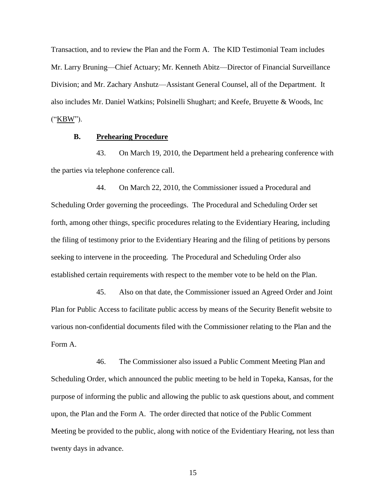Transaction, and to review the Plan and the Form A. The KID Testimonial Team includes Mr. Larry Bruning—Chief Actuary; Mr. Kenneth Abitz—Director of Financial Surveillance Division; and Mr. Zachary Anshutz—Assistant General Counsel, all of the Department. It also includes Mr. Daniel Watkins; Polsinelli Shughart; and Keefe, Bruyette & Woods, Inc ("KBW").

## **B. Prehearing Procedure**

43. On March 19, 2010, the Department held a prehearing conference with the parties via telephone conference call.

44. On March 22, 2010, the Commissioner issued a Procedural and Scheduling Order governing the proceedings. The Procedural and Scheduling Order set forth, among other things, specific procedures relating to the Evidentiary Hearing, including the filing of testimony prior to the Evidentiary Hearing and the filing of petitions by persons seeking to intervene in the proceeding. The Procedural and Scheduling Order also established certain requirements with respect to the member vote to be held on the Plan.

45. Also on that date, the Commissioner issued an Agreed Order and Joint Plan for Public Access to facilitate public access by means of the Security Benefit website to various non-confidential documents filed with the Commissioner relating to the Plan and the Form A.

46. The Commissioner also issued a Public Comment Meeting Plan and Scheduling Order, which announced the public meeting to be held in Topeka, Kansas, for the purpose of informing the public and allowing the public to ask questions about, and comment upon, the Plan and the Form A. The order directed that notice of the Public Comment Meeting be provided to the public, along with notice of the Evidentiary Hearing, not less than twenty days in advance.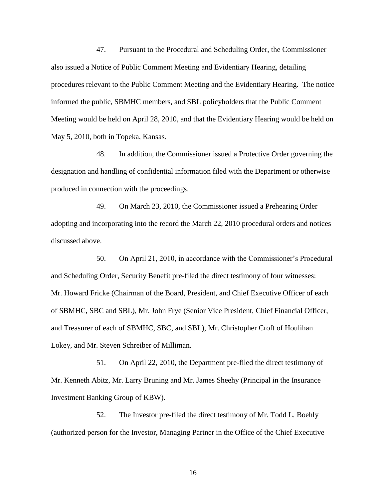47. Pursuant to the Procedural and Scheduling Order, the Commissioner also issued a Notice of Public Comment Meeting and Evidentiary Hearing, detailing procedures relevant to the Public Comment Meeting and the Evidentiary Hearing. The notice informed the public, SBMHC members, and SBL policyholders that the Public Comment Meeting would be held on April 28, 2010, and that the Evidentiary Hearing would be held on May 5, 2010, both in Topeka, Kansas.

48. In addition, the Commissioner issued a Protective Order governing the designation and handling of confidential information filed with the Department or otherwise produced in connection with the proceedings.

49. On March 23, 2010, the Commissioner issued a Prehearing Order adopting and incorporating into the record the March 22, 2010 procedural orders and notices discussed above.

50. On April 21, 2010, in accordance with the Commissioner's Procedural and Scheduling Order, Security Benefit pre-filed the direct testimony of four witnesses: Mr. Howard Fricke (Chairman of the Board, President, and Chief Executive Officer of each of SBMHC, SBC and SBL), Mr. John Frye (Senior Vice President, Chief Financial Officer, and Treasurer of each of SBMHC, SBC, and SBL), Mr. Christopher Croft of Houlihan Lokey, and Mr. Steven Schreiber of Milliman.

51. On April 22, 2010, the Department pre-filed the direct testimony of Mr. Kenneth Abitz, Mr. Larry Bruning and Mr. James Sheehy (Principal in the Insurance Investment Banking Group of KBW).

52. The Investor pre-filed the direct testimony of Mr. Todd L. Boehly (authorized person for the Investor, Managing Partner in the Office of the Chief Executive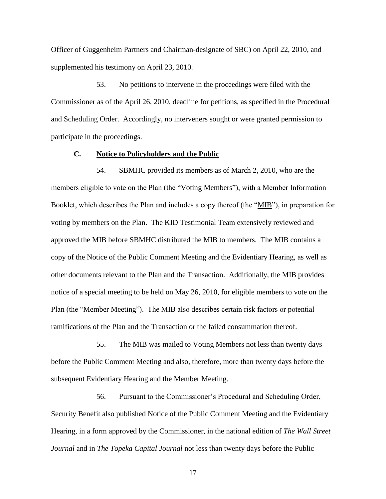Officer of Guggenheim Partners and Chairman-designate of SBC) on April 22, 2010, and supplemented his testimony on April 23, 2010.

53. No petitions to intervene in the proceedings were filed with the Commissioner as of the April 26, 2010, deadline for petitions, as specified in the Procedural and Scheduling Order. Accordingly, no interveners sought or were granted permission to participate in the proceedings.

#### **C. Notice to Policyholders and the Public**

54. SBMHC provided its members as of March 2, 2010, who are the members eligible to vote on the Plan (the "Voting Members"), with a Member Information Booklet, which describes the Plan and includes a copy thereof (the "MIB"), in preparation for voting by members on the Plan. The KID Testimonial Team extensively reviewed and approved the MIB before SBMHC distributed the MIB to members. The MIB contains a copy of the Notice of the Public Comment Meeting and the Evidentiary Hearing, as well as other documents relevant to the Plan and the Transaction. Additionally, the MIB provides notice of a special meeting to be held on May 26, 2010, for eligible members to vote on the Plan (the "Member Meeting"). The MIB also describes certain risk factors or potential ramifications of the Plan and the Transaction or the failed consummation thereof.

55. The MIB was mailed to Voting Members not less than twenty days before the Public Comment Meeting and also, therefore, more than twenty days before the subsequent Evidentiary Hearing and the Member Meeting.

56. Pursuant to the Commissioner's Procedural and Scheduling Order, Security Benefit also published Notice of the Public Comment Meeting and the Evidentiary Hearing, in a form approved by the Commissioner, in the national edition of *The Wall Street Journal* and in *The Topeka Capital Journal* not less than twenty days before the Public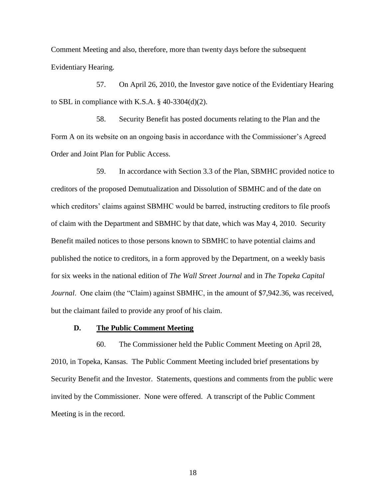Comment Meeting and also, therefore, more than twenty days before the subsequent Evidentiary Hearing.

57. On April 26, 2010, the Investor gave notice of the Evidentiary Hearing to SBL in compliance with K.S.A.  $\S$  40-3304(d)(2).

58. Security Benefit has posted documents relating to the Plan and the Form A on its website on an ongoing basis in accordance with the Commissioner's Agreed Order and Joint Plan for Public Access.

59. In accordance with Section 3.3 of the Plan, SBMHC provided notice to creditors of the proposed Demutualization and Dissolution of SBMHC and of the date on which creditors' claims against SBMHC would be barred, instructing creditors to file proofs of claim with the Department and SBMHC by that date, which was May 4, 2010. Security Benefit mailed notices to those persons known to SBMHC to have potential claims and published the notice to creditors, in a form approved by the Department, on a weekly basis for six weeks in the national edition of *The Wall Street Journal* and in *The Topeka Capital Journal.* One claim (the "Claim) against SBMHC, in the amount of \$7,942.36, was received, but the claimant failed to provide any proof of his claim.

#### **D. The Public Comment Meeting**

60. The Commissioner held the Public Comment Meeting on April 28, 2010, in Topeka, Kansas. The Public Comment Meeting included brief presentations by Security Benefit and the Investor. Statements, questions and comments from the public were invited by the Commissioner. None were offered. A transcript of the Public Comment Meeting is in the record.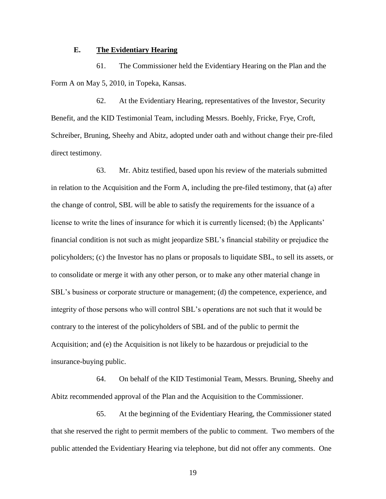## **E. The Evidentiary Hearing**

61. The Commissioner held the Evidentiary Hearing on the Plan and the Form A on May 5, 2010, in Topeka, Kansas.

62. At the Evidentiary Hearing, representatives of the Investor, Security Benefit, and the KID Testimonial Team, including Messrs. Boehly, Fricke, Frye, Croft, Schreiber, Bruning, Sheehy and Abitz, adopted under oath and without change their pre-filed direct testimony.

63. Mr. Abitz testified, based upon his review of the materials submitted in relation to the Acquisition and the Form A, including the pre-filed testimony, that (a) after the change of control, SBL will be able to satisfy the requirements for the issuance of a license to write the lines of insurance for which it is currently licensed; (b) the Applicants' financial condition is not such as might jeopardize SBL's financial stability or prejudice the policyholders; (c) the Investor has no plans or proposals to liquidate SBL, to sell its assets, or to consolidate or merge it with any other person, or to make any other material change in SBL's business or corporate structure or management; (d) the competence, experience, and integrity of those persons who will control SBL's operations are not such that it would be contrary to the interest of the policyholders of SBL and of the public to permit the Acquisition; and (e) the Acquisition is not likely to be hazardous or prejudicial to the insurance-buying public.

64. On behalf of the KID Testimonial Team, Messrs. Bruning, Sheehy and Abitz recommended approval of the Plan and the Acquisition to the Commissioner.

65. At the beginning of the Evidentiary Hearing, the Commissioner stated that she reserved the right to permit members of the public to comment. Two members of the public attended the Evidentiary Hearing via telephone, but did not offer any comments. One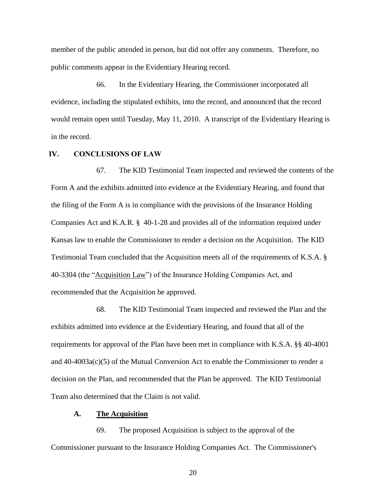member of the public attended in person, but did not offer any comments. Therefore, no public comments appear in the Evidentiary Hearing record.

66. In the Evidentiary Hearing, the Commissioner incorporated all evidence, including the stipulated exhibits, into the record, and announced that the record would remain open until Tuesday, May 11, 2010. A transcript of the Evidentiary Hearing is in the record.

## **IV. CONCLUSIONS OF LAW**

67. The KID Testimonial Team inspected and reviewed the contents of the Form A and the exhibits admitted into evidence at the Evidentiary Hearing, and found that the filing of the Form A is in compliance with the provisions of the Insurance Holding Companies Act and K.A.R. § 40-1-28 and provides all of the information required under Kansas law to enable the Commissioner to render a decision on the Acquisition. The KID Testimonial Team concluded that the Acquisition meets all of the requirements of K.S.A. § 40-3304 (the "Acquisition Law") of the Insurance Holding Companies Act, and recommended that the Acquisition be approved.

68. The KID Testimonial Team inspected and reviewed the Plan and the exhibits admitted into evidence at the Evidentiary Hearing, and found that all of the requirements for approval of the Plan have been met in compliance with K.S.A. §§ 40-4001 and 40-4003a(c)(5) of the Mutual Conversion Act to enable the Commissioner to render a decision on the Plan, and recommended that the Plan be approved. The KID Testimonial Team also determined that the Claim is not valid.

## **A. The Acquisition**

69. The proposed Acquisition is subject to the approval of the Commissioner pursuant to the Insurance Holding Companies Act. The Commissioner's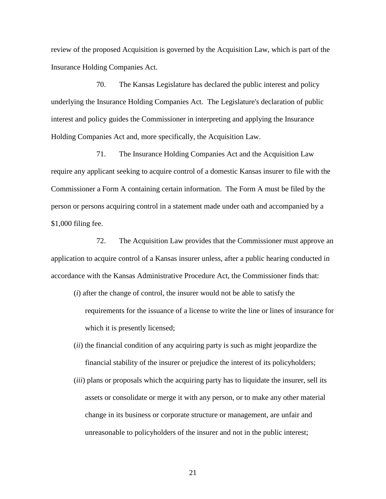review of the proposed Acquisition is governed by the Acquisition Law, which is part of the Insurance Holding Companies Act.

70. The Kansas Legislature has declared the public interest and policy underlying the Insurance Holding Companies Act. The Legislature's declaration of public interest and policy guides the Commissioner in interpreting and applying the Insurance Holding Companies Act and, more specifically, the Acquisition Law.

71. The Insurance Holding Companies Act and the Acquisition Law require any applicant seeking to acquire control of a domestic Kansas insurer to file with the Commissioner a Form A containing certain information. The Form A must be filed by the person or persons acquiring control in a statement made under oath and accompanied by a \$1,000 filing fee.

72. The Acquisition Law provides that the Commissioner must approve an application to acquire control of a Kansas insurer unless, after a public hearing conducted in accordance with the Kansas Administrative Procedure Act, the Commissioner finds that:

- (*i*) after the change of control, the insurer would not be able to satisfy the requirements for the issuance of a license to write the line or lines of insurance for which it is presently licensed;
- (*ii*) the financial condition of any acquiring party is such as might jeopardize the financial stability of the insurer or prejudice the interest of its policyholders;
- (*iii*) plans or proposals which the acquiring party has to liquidate the insurer, sell its assets or consolidate or merge it with any person, or to make any other material change in its business or corporate structure or management, are unfair and unreasonable to policyholders of the insurer and not in the public interest;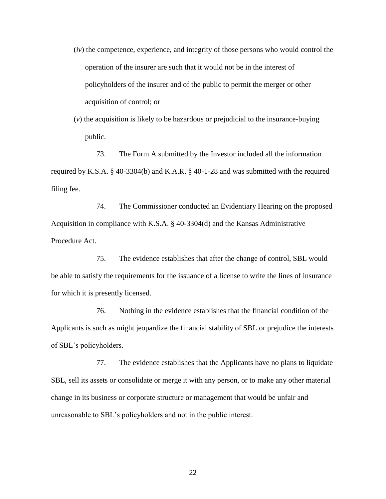- (*iv*) the competence, experience, and integrity of those persons who would control the operation of the insurer are such that it would not be in the interest of policyholders of the insurer and of the public to permit the merger or other acquisition of control; or
- (*v*) the acquisition is likely to be hazardous or prejudicial to the insurance-buying public.

73. The Form A submitted by the Investor included all the information required by K.S.A. § 40-3304(b) and K.A.R. § 40-1-28 and was submitted with the required filing fee.

74. The Commissioner conducted an Evidentiary Hearing on the proposed Acquisition in compliance with K.S.A. § 40-3304(d) and the Kansas Administrative Procedure Act.

75. The evidence establishes that after the change of control, SBL would be able to satisfy the requirements for the issuance of a license to write the lines of insurance for which it is presently licensed.

76. Nothing in the evidence establishes that the financial condition of the Applicants is such as might jeopardize the financial stability of SBL or prejudice the interests of SBL's policyholders.

77. The evidence establishes that the Applicants have no plans to liquidate SBL, sell its assets or consolidate or merge it with any person, or to make any other material change in its business or corporate structure or management that would be unfair and unreasonable to SBL's policyholders and not in the public interest.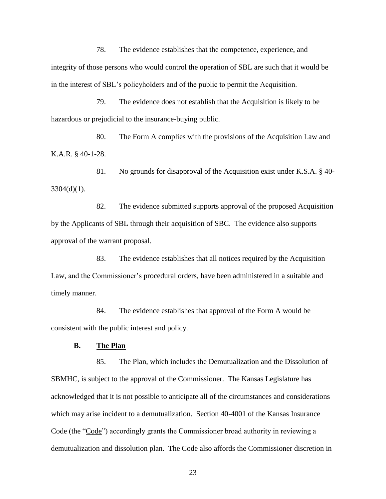78. The evidence establishes that the competence, experience, and integrity of those persons who would control the operation of SBL are such that it would be in the interest of SBL's policyholders and of the public to permit the Acquisition.

79. The evidence does not establish that the Acquisition is likely to be hazardous or prejudicial to the insurance-buying public.

80. The Form A complies with the provisions of the Acquisition Law and K.A.R. § 40-1-28.

81. No grounds for disapproval of the Acquisition exist under K.S.A. § 40-  $3304(d)(1)$ .

82. The evidence submitted supports approval of the proposed Acquisition by the Applicants of SBL through their acquisition of SBC. The evidence also supports approval of the warrant proposal.

83. The evidence establishes that all notices required by the Acquisition Law, and the Commissioner's procedural orders, have been administered in a suitable and timely manner.

84. The evidence establishes that approval of the Form A would be consistent with the public interest and policy.

## **B. The Plan**

85. The Plan, which includes the Demutualization and the Dissolution of SBMHC, is subject to the approval of the Commissioner. The Kansas Legislature has acknowledged that it is not possible to anticipate all of the circumstances and considerations which may arise incident to a demutualization. Section 40-4001 of the Kansas Insurance Code (the "Code") accordingly grants the Commissioner broad authority in reviewing a demutualization and dissolution plan. The Code also affords the Commissioner discretion in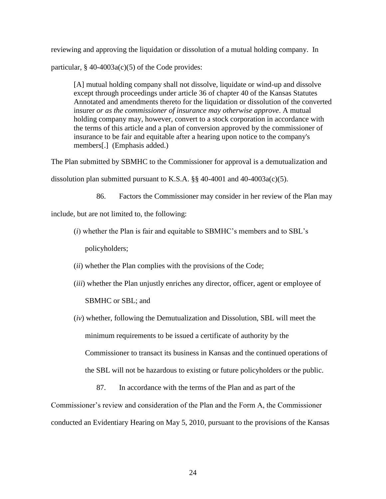reviewing and approving the liquidation or dissolution of a mutual holding company. In

particular,  $§$  40-4003a(c)(5) of the Code provides:

[A] mutual holding company shall not dissolve, liquidate or wind-up and dissolve except through proceedings under article 36 of chapter 40 of the Kansas Statutes Annotated and amendments thereto for the liquidation or dissolution of the converted insurer *or as the commissioner of insurance may otherwise approve*. A mutual holding company may, however, convert to a stock corporation in accordance with the terms of this article and a plan of conversion approved by the commissioner of insurance to be fair and equitable after a hearing upon notice to the company's members[.] (Emphasis added.)

The Plan submitted by SBMHC to the Commissioner for approval is a demutualization and

dissolution plan submitted pursuant to K.S.A.  $\S$  40-4001 and 40-4003a(c)(5).

86. Factors the Commissioner may consider in her review of the Plan may

include, but are not limited to, the following:

- (*i*) whether the Plan is fair and equitable to SBMHC's members and to SBL's policyholders;
- (*ii*) whether the Plan complies with the provisions of the Code;
- (*iii*) whether the Plan unjustly enriches any director, officer, agent or employee of SBMHC or SBL; and
- (*iv*) whether, following the Demutualization and Dissolution, SBL will meet the minimum requirements to be issued a certificate of authority by the Commissioner to transact its business in Kansas and the continued operations of the SBL will not be hazardous to existing or future policyholders or the public.
	- 87. In accordance with the terms of the Plan and as part of the

Commissioner's review and consideration of the Plan and the Form A, the Commissioner conducted an Evidentiary Hearing on May 5, 2010, pursuant to the provisions of the Kansas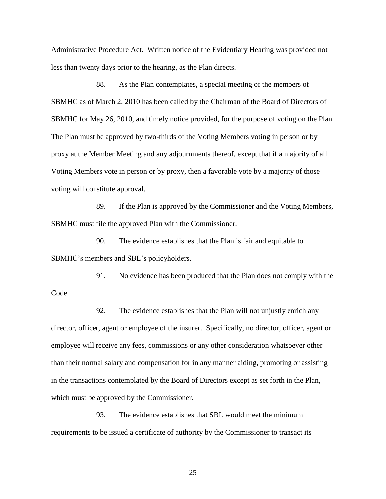Administrative Procedure Act. Written notice of the Evidentiary Hearing was provided not less than twenty days prior to the hearing, as the Plan directs.

88. As the Plan contemplates, a special meeting of the members of SBMHC as of March 2, 2010 has been called by the Chairman of the Board of Directors of SBMHC for May 26, 2010, and timely notice provided, for the purpose of voting on the Plan. The Plan must be approved by two-thirds of the Voting Members voting in person or by proxy at the Member Meeting and any adjournments thereof, except that if a majority of all Voting Members vote in person or by proxy, then a favorable vote by a majority of those voting will constitute approval.

89. If the Plan is approved by the Commissioner and the Voting Members, SBMHC must file the approved Plan with the Commissioner.

90. The evidence establishes that the Plan is fair and equitable to SBMHC's members and SBL's policyholders.

91. No evidence has been produced that the Plan does not comply with the Code.

92. The evidence establishes that the Plan will not unjustly enrich any director, officer, agent or employee of the insurer. Specifically, no director, officer, agent or employee will receive any fees, commissions or any other consideration whatsoever other than their normal salary and compensation for in any manner aiding, promoting or assisting in the transactions contemplated by the Board of Directors except as set forth in the Plan, which must be approved by the Commissioner.

93. The evidence establishes that SBL would meet the minimum requirements to be issued a certificate of authority by the Commissioner to transact its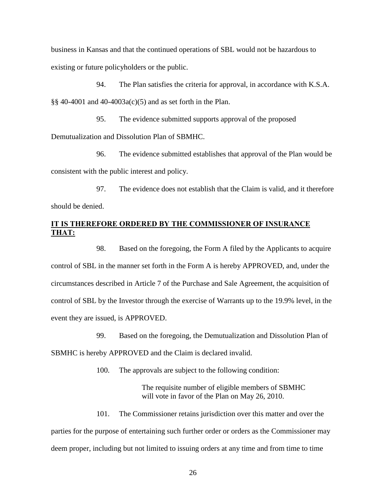business in Kansas and that the continued operations of SBL would not be hazardous to existing or future policyholders or the public.

94. The Plan satisfies the criteria for approval, in accordance with K.S.A. §§ 40-4001 and 40-4003a(c)(5) and as set forth in the Plan.

95. The evidence submitted supports approval of the proposed Demutualization and Dissolution Plan of SBMHC.

96. The evidence submitted establishes that approval of the Plan would be consistent with the public interest and policy.

97. The evidence does not establish that the Claim is valid, and it therefore should be denied.

## **IT IS THEREFORE ORDERED BY THE COMMISSIONER OF INSURANCE THAT:**

98. Based on the foregoing, the Form A filed by the Applicants to acquire control of SBL in the manner set forth in the Form A is hereby APPROVED, and, under the circumstances described in Article 7 of the Purchase and Sale Agreement, the acquisition of control of SBL by the Investor through the exercise of Warrants up to the 19.9% level, in the event they are issued, is APPROVED.

99. Based on the foregoing, the Demutualization and Dissolution Plan of

SBMHC is hereby APPROVED and the Claim is declared invalid.

100. The approvals are subject to the following condition:

The requisite number of eligible members of SBMHC will vote in favor of the Plan on May 26, 2010.

101. The Commissioner retains jurisdiction over this matter and over the parties for the purpose of entertaining such further order or orders as the Commissioner may deem proper, including but not limited to issuing orders at any time and from time to time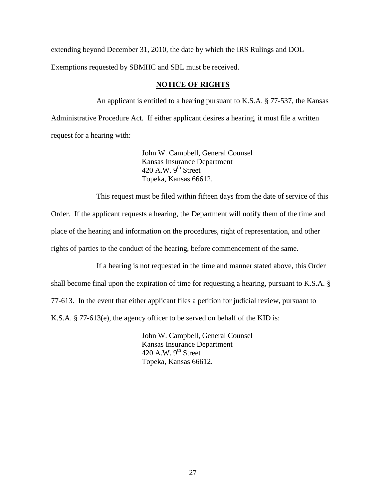extending beyond December 31, 2010, the date by which the IRS Rulings and DOL

Exemptions requested by SBMHC and SBL must be received.

## **NOTICE OF RIGHTS**

An applicant is entitled to a hearing pursuant to K.S.A. § 77-537, the Kansas Administrative Procedure Act. If either applicant desires a hearing, it must file a written request for a hearing with:

> John W. Campbell, General Counsel Kansas Insurance Department 420 A.W.  $9<sup>th</sup>$  Street Topeka, Kansas 66612.

This request must be filed within fifteen days from the date of service of this

Order. If the applicant requests a hearing, the Department will notify them of the time and place of the hearing and information on the procedures, right of representation, and other rights of parties to the conduct of the hearing, before commencement of the same.

If a hearing is not requested in the time and manner stated above, this Order

shall become final upon the expiration of time for requesting a hearing, pursuant to K.S.A. §

77-613. In the event that either applicant files a petition for judicial review, pursuant to

K.S.A. § 77-613(e), the agency officer to be served on behalf of the KID is:

John W. Campbell, General Counsel Kansas Insurance Department 420 A.W.  $9^{th}$  Street Topeka, Kansas 66612.